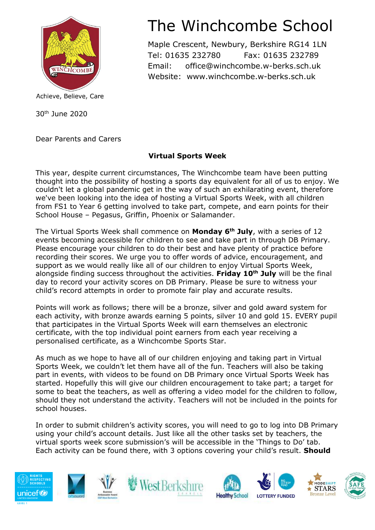

Achieve, Believe, Care

30th June 2020

Dear Parents and Carers

## The Winchcombe School

Maple Crescent, Newbury, Berkshire RG14 1LN Tel: 01635 232780 Fax: 01635 232789 Email: office@winchcombe.w-berks.sch.uk Website: www.winchcombe.w-berks.sch.uk

## **Virtual Sports Week**

This year, despite current circumstances, The Winchcombe team have been putting thought into the possibility of hosting a sports day equivalent for all of us to enjoy. We couldn't let a global pandemic get in the way of such an exhilarating event, therefore we've been looking into the idea of hosting a Virtual Sports Week, with all children from FS1 to Year 6 getting involved to take part, compete, and earn points for their School House – Pegasus, Griffin, Phoenix or Salamander.

The Virtual Sports Week shall commence on **Monday 6th July**, with a series of 12 events becoming accessible for children to see and take part in through DB Primary. Please encourage your children to do their best and have plenty of practice before recording their scores. We urge you to offer words of advice, encouragement, and support as we would really like all of our children to enjoy Virtual Sports Week, alongside finding success throughout the activities. **Friday 10th July** will be the final day to record your activity scores on DB Primary. Please be sure to witness your child's record attempts in order to promote fair play and accurate results.

Points will work as follows; there will be a bronze, silver and gold award system for each activity, with bronze awards earning 5 points, silver 10 and gold 15. EVERY pupil that participates in the Virtual Sports Week will earn themselves an electronic certificate, with the top individual point earners from each year receiving a personalised certificate, as a Winchcombe Sports Star.

As much as we hope to have all of our children enjoying and taking part in Virtual Sports Week, we couldn't let them have all of the fun. Teachers will also be taking part in events, with videos to be found on DB Primary once Virtual Sports Week has started. Hopefully this will give our children encouragement to take part; a target for some to beat the teachers, as well as offering a video model for the children to follow, should they not understand the activity. Teachers will not be included in the points for school houses.

In order to submit children's activity scores, you will need to go to log into DB Primary using your child's account details. Just like all the other tasks set by teachers, the virtual sports week score submission's will be accessible in the 'Things to Do' tab. Each activity can be found there, with 3 options covering your child's result. **Should**